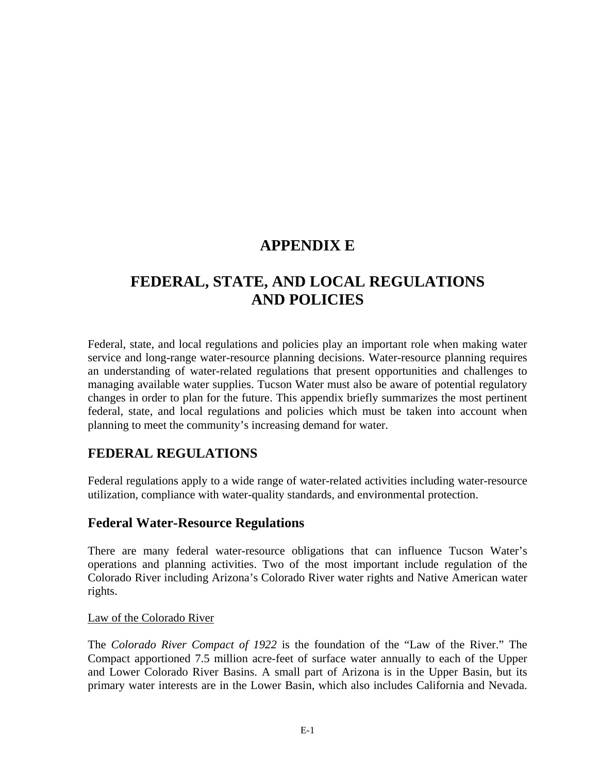# **APPENDIX E**

# **FEDERAL, STATE, AND LOCAL REGULATIONS AND POLICIES**

Federal, state, and local regulations and policies play an important role when making water service and long-range water-resource planning decisions. Water-resource planning requires an understanding of water-related regulations that present opportunities and challenges to managing available water supplies. Tucson Water must also be aware of potential regulatory changes in order to plan for the future. This appendix briefly summarizes the most pertinent federal, state, and local regulations and policies which must be taken into account when planning to meet the community's increasing demand for water.

# **FEDERAL REGULATIONS**

Federal regulations apply to a wide range of water-related activities including water-resource utilization, compliance with water-quality standards, and environmental protection.

# **Federal Water-Resource Regulations**

There are many federal water-resource obligations that can influence Tucson Water's operations and planning activities. Two of the most important include regulation of the Colorado River including Arizona's Colorado River water rights and Native American water rights.

### Law of the Colorado River

The *Colorado River Compact of 1922* is the foundation of the "Law of the River." The Compact apportioned 7.5 million acre-feet of surface water annually to each of the Upper and Lower Colorado River Basins. A small part of Arizona is in the Upper Basin, but its primary water interests are in the Lower Basin, which also includes California and Nevada.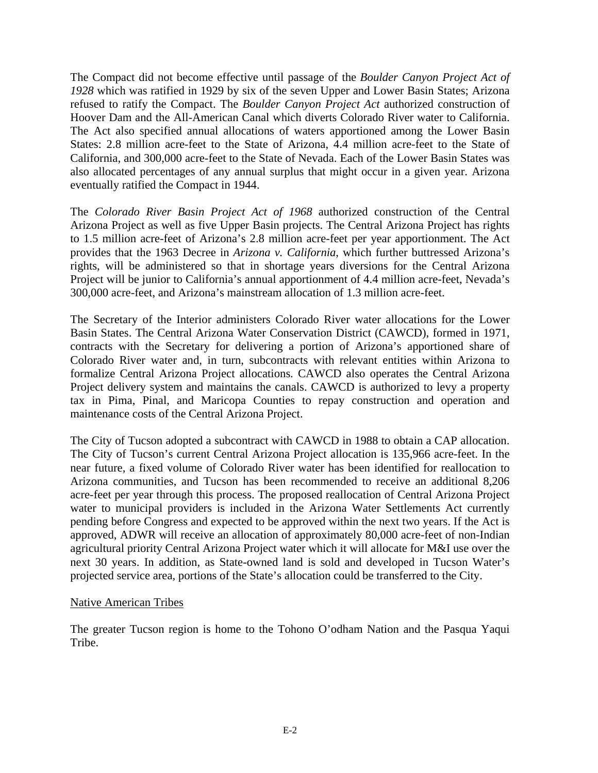The Compact did not become effective until passage of the *Boulder Canyon Project Act of 1928* which was ratified in 1929 by six of the seven Upper and Lower Basin States; Arizona refused to ratify the Compact. The *Boulder Canyon Project Act* authorized construction of Hoover Dam and the All-American Canal which diverts Colorado River water to California. The Act also specified annual allocations of waters apportioned among the Lower Basin States: 2.8 million acre-feet to the State of Arizona, 4.4 million acre-feet to the State of California, and 300,000 acre-feet to the State of Nevada. Each of the Lower Basin States was also allocated percentages of any annual surplus that might occur in a given year. Arizona eventually ratified the Compact in 1944.

The *Colorado River Basin Project Act of 1968* authorized construction of the Central Arizona Project as well as five Upper Basin projects. The Central Arizona Project has rights to 1.5 million acre-feet of Arizona's 2.8 million acre-feet per year apportionment. The Act provides that the 1963 Decree in *Arizona v. California*, which further buttressed Arizona's rights, will be administered so that in shortage years diversions for the Central Arizona Project will be junior to California's annual apportionment of 4.4 million acre-feet, Nevada's 300,000 acre-feet, and Arizona's mainstream allocation of 1.3 million acre-feet.

The Secretary of the Interior administers Colorado River water allocations for the Lower Basin States. The Central Arizona Water Conservation District (CAWCD), formed in 1971, contracts with the Secretary for delivering a portion of Arizona's apportioned share of Colorado River water and, in turn, subcontracts with relevant entities within Arizona to formalize Central Arizona Project allocations. CAWCD also operates the Central Arizona Project delivery system and maintains the canals. CAWCD is authorized to levy a property tax in Pima, Pinal, and Maricopa Counties to repay construction and operation and maintenance costs of the Central Arizona Project.

The City of Tucson adopted a subcontract with CAWCD in 1988 to obtain a CAP allocation. The City of Tucson's current Central Arizona Project allocation is 135,966 acre-feet. In the near future, a fixed volume of Colorado River water has been identified for reallocation to Arizona communities, and Tucson has been recommended to receive an additional 8,206 acre-feet per year through this process. The proposed reallocation of Central Arizona Project water to municipal providers is included in the Arizona Water Settlements Act currently pending before Congress and expected to be approved within the next two years. If the Act is approved, ADWR will receive an allocation of approximately 80,000 acre-feet of non-Indian agricultural priority Central Arizona Project water which it will allocate for M&I use over the next 30 years. In addition, as State-owned land is sold and developed in Tucson Water's projected service area, portions of the State's allocation could be transferred to the City.

#### Native American Tribes

The greater Tucson region is home to the Tohono O'odham Nation and the Pasqua Yaqui Tribe.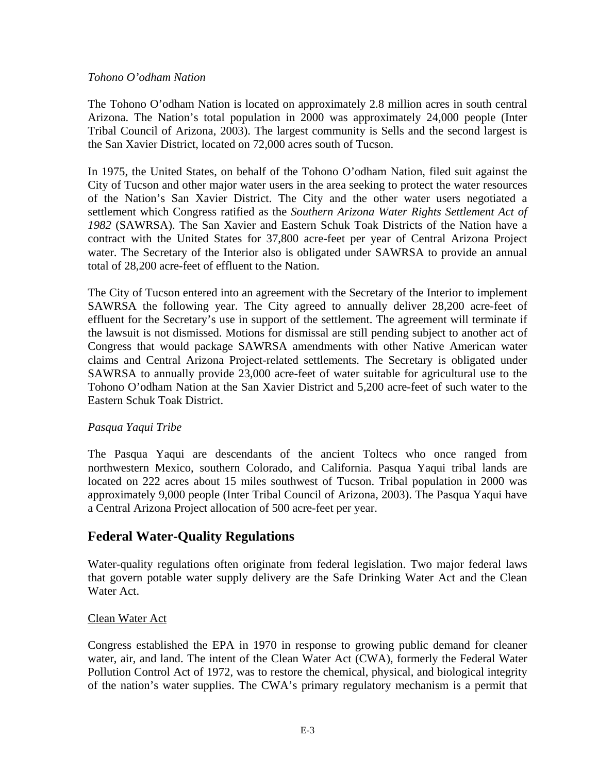#### *Tohono O'odham Nation*

The Tohono O'odham Nation is located on approximately 2.8 million acres in south central Arizona. The Nation's total population in 2000 was approximately 24,000 people (Inter Tribal Council of Arizona, 2003). The largest community is Sells and the second largest is the San Xavier District, located on 72,000 acres south of Tucson.

In 1975, the United States, on behalf of the Tohono O'odham Nation, filed suit against the City of Tucson and other major water users in the area seeking to protect the water resources of the Nation's San Xavier District. The City and the other water users negotiated a settlement which Congress ratified as the *Southern Arizona Water Rights Settlement Act of 1982* (SAWRSA). The San Xavier and Eastern Schuk Toak Districts of the Nation have a contract with the United States for 37,800 acre-feet per year of Central Arizona Project water. The Secretary of the Interior also is obligated under SAWRSA to provide an annual total of 28,200 acre-feet of effluent to the Nation.

The City of Tucson entered into an agreement with the Secretary of the Interior to implement SAWRSA the following year. The City agreed to annually deliver 28,200 acre-feet of effluent for the Secretary's use in support of the settlement. The agreement will terminate if the lawsuit is not dismissed. Motions for dismissal are still pending subject to another act of Congress that would package SAWRSA amendments with other Native American water claims and Central Arizona Project-related settlements. The Secretary is obligated under SAWRSA to annually provide 23,000 acre-feet of water suitable for agricultural use to the Tohono O'odham Nation at the San Xavier District and 5,200 acre-feet of such water to the Eastern Schuk Toak District.

### *Pasqua Yaqui Tribe*

The Pasqua Yaqui are descendants of the ancient Toltecs who once ranged from northwestern Mexico, southern Colorado, and California. Pasqua Yaqui tribal lands are located on 222 acres about 15 miles southwest of Tucson. Tribal population in 2000 was approximately 9,000 people (Inter Tribal Council of Arizona, 2003). The Pasqua Yaqui have a Central Arizona Project allocation of 500 acre-feet per year.

# **Federal Water-Quality Regulations**

Water-quality regulations often originate from federal legislation. Two major federal laws that govern potable water supply delivery are the Safe Drinking Water Act and the Clean Water Act.

#### Clean Water Act

Congress established the EPA in 1970 in response to growing public demand for cleaner water, air, and land. The intent of the Clean Water Act (CWA), formerly the Federal Water Pollution Control Act of 1972, was to restore the chemical, physical, and biological integrity of the nation's water supplies. The CWA's primary regulatory mechanism is a permit that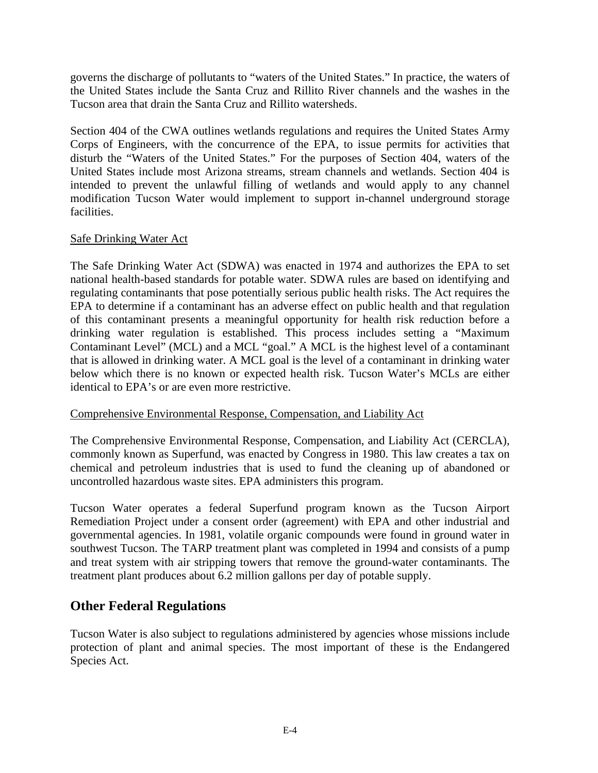governs the discharge of pollutants to "waters of the United States." In practice, the waters of the United States include the Santa Cruz and Rillito River channels and the washes in the Tucson area that drain the Santa Cruz and Rillito watersheds.

Section 404 of the CWA outlines wetlands regulations and requires the United States Army Corps of Engineers, with the concurrence of the EPA, to issue permits for activities that disturb the "Waters of the United States." For the purposes of Section 404, waters of the United States include most Arizona streams, stream channels and wetlands. Section 404 is intended to prevent the unlawful filling of wetlands and would apply to any channel modification Tucson Water would implement to support in-channel underground storage facilities.

### Safe Drinking Water Act

The Safe Drinking Water Act (SDWA) was enacted in 1974 and authorizes the EPA to set national health-based standards for potable water. SDWA rules are based on identifying and regulating contaminants that pose potentially serious public health risks. The Act requires the EPA to determine if a contaminant has an adverse effect on public health and that regulation of this contaminant presents a meaningful opportunity for health risk reduction before a drinking water regulation is established. This process includes setting a "Maximum Contaminant Level" (MCL) and a MCL "goal." A MCL is the highest level of a contaminant that is allowed in drinking water. A MCL goal is the level of a contaminant in drinking water below which there is no known or expected health risk. Tucson Water's MCLs are either identical to EPA's or are even more restrictive.

#### Comprehensive Environmental Response, Compensation, and Liability Act

The Comprehensive Environmental Response, Compensation, and Liability Act (CERCLA), commonly known as Superfund, was enacted by Congress in 1980. This law creates a tax on chemical and petroleum industries that is used to fund the cleaning up of abandoned or uncontrolled hazardous waste sites. EPA administers this program.

Tucson Water operates a federal Superfund program known as the Tucson Airport Remediation Project under a consent order (agreement) with EPA and other industrial and governmental agencies. In 1981, volatile organic compounds were found in ground water in southwest Tucson. The TARP treatment plant was completed in 1994 and consists of a pump and treat system with air stripping towers that remove the ground-water contaminants. The treatment plant produces about 6.2 million gallons per day of potable supply.

# **Other Federal Regulations**

Tucson Water is also subject to regulations administered by agencies whose missions include protection of plant and animal species. The most important of these is the Endangered Species Act.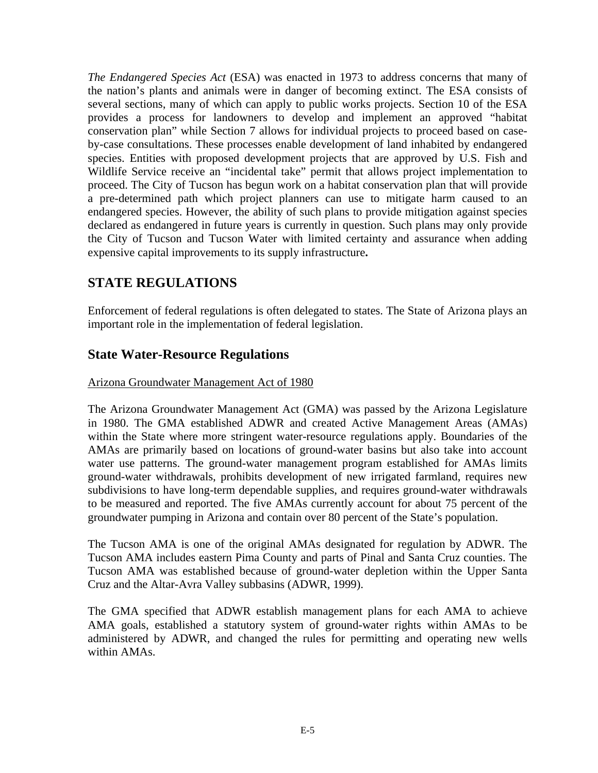*The Endangered Species Act* (ESA) was enacted in 1973 to address concerns that many of the nation's plants and animals were in danger of becoming extinct. The ESA consists of several sections, many of which can apply to public works projects. Section 10 of the ESA provides a process for landowners to develop and implement an approved "habitat conservation plan" while Section 7 allows for individual projects to proceed based on caseby-case consultations. These processes enable development of land inhabited by endangered species. Entities with proposed development projects that are approved by U.S. Fish and Wildlife Service receive an "incidental take" permit that allows project implementation to proceed. The City of Tucson has begun work on a habitat conservation plan that will provide a pre-determined path which project planners can use to mitigate harm caused to an endangered species. However, the ability of such plans to provide mitigation against species declared as endangered in future years is currently in question. Such plans may only provide the City of Tucson and Tucson Water with limited certainty and assurance when adding expensive capital improvements to its supply infrastructure**.** 

# **STATE REGULATIONS**

Enforcement of federal regulations is often delegated to states. The State of Arizona plays an important role in the implementation of federal legislation.

### **State Water-Resource Regulations**

### Arizona Groundwater Management Act of 1980

The Arizona Groundwater Management Act (GMA) was passed by the Arizona Legislature in 1980. The GMA established ADWR and created Active Management Areas (AMAs) within the State where more stringent water-resource regulations apply. Boundaries of the AMAs are primarily based on locations of ground-water basins but also take into account water use patterns. The ground-water management program established for AMAs limits ground-water withdrawals, prohibits development of new irrigated farmland, requires new subdivisions to have long-term dependable supplies, and requires ground-water withdrawals to be measured and reported. The five AMAs currently account for about 75 percent of the groundwater pumping in Arizona and contain over 80 percent of the State's population.

The Tucson AMA is one of the original AMAs designated for regulation by ADWR. The Tucson AMA includes eastern Pima County and parts of Pinal and Santa Cruz counties. The Tucson AMA was established because of ground-water depletion within the Upper Santa Cruz and the Altar-Avra Valley subbasins (ADWR, 1999).

The GMA specified that ADWR establish management plans for each AMA to achieve AMA goals, established a statutory system of ground-water rights within AMAs to be administered by ADWR, and changed the rules for permitting and operating new wells within AMAs.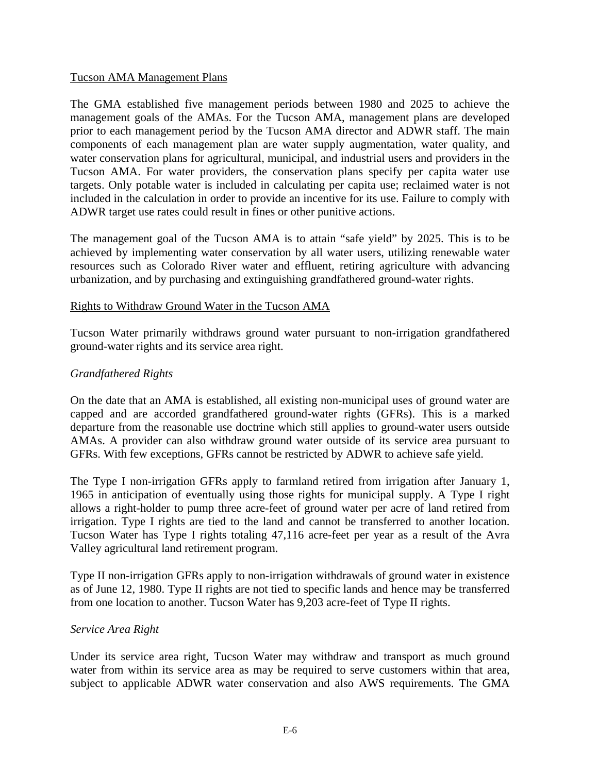#### Tucson AMA Management Plans

The GMA established five management periods between 1980 and 2025 to achieve the management goals of the AMAs. For the Tucson AMA, management plans are developed prior to each management period by the Tucson AMA director and ADWR staff. The main components of each management plan are water supply augmentation, water quality, and water conservation plans for agricultural, municipal, and industrial users and providers in the Tucson AMA. For water providers, the conservation plans specify per capita water use targets. Only potable water is included in calculating per capita use; reclaimed water is not included in the calculation in order to provide an incentive for its use. Failure to comply with ADWR target use rates could result in fines or other punitive actions.

The management goal of the Tucson AMA is to attain "safe yield" by 2025. This is to be achieved by implementing water conservation by all water users, utilizing renewable water resources such as Colorado River water and effluent, retiring agriculture with advancing urbanization, and by purchasing and extinguishing grandfathered ground-water rights.

#### Rights to Withdraw Ground Water in the Tucson AMA

Tucson Water primarily withdraws ground water pursuant to non-irrigation grandfathered ground-water rights and its service area right.

#### *Grandfathered Rights*

On the date that an AMA is established, all existing non-municipal uses of ground water are capped and are accorded grandfathered ground-water rights (GFRs). This is a marked departure from the reasonable use doctrine which still applies to ground-water users outside AMAs. A provider can also withdraw ground water outside of its service area pursuant to GFRs. With few exceptions, GFRs cannot be restricted by ADWR to achieve safe yield.

The Type I non-irrigation GFRs apply to farmland retired from irrigation after January 1, 1965 in anticipation of eventually using those rights for municipal supply. A Type I right allows a right-holder to pump three acre-feet of ground water per acre of land retired from irrigation. Type I rights are tied to the land and cannot be transferred to another location. Tucson Water has Type I rights totaling 47,116 acre-feet per year as a result of the Avra Valley agricultural land retirement program.

Type II non-irrigation GFRs apply to non-irrigation withdrawals of ground water in existence as of June 12, 1980. Type II rights are not tied to specific lands and hence may be transferred from one location to another. Tucson Water has 9,203 acre-feet of Type II rights.

#### *Service Area Right*

Under its service area right, Tucson Water may withdraw and transport as much ground water from within its service area as may be required to serve customers within that area, subject to applicable ADWR water conservation and also AWS requirements. The GMA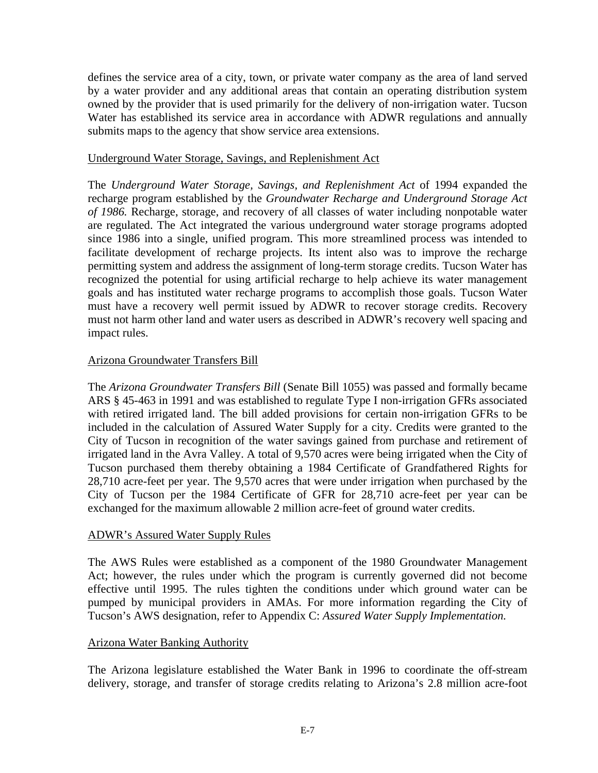defines the service area of a city, town, or private water company as the area of land served by a water provider and any additional areas that contain an operating distribution system owned by the provider that is used primarily for the delivery of non-irrigation water. Tucson Water has established its service area in accordance with ADWR regulations and annually submits maps to the agency that show service area extensions.

#### Underground Water Storage, Savings, and Replenishment Act

The *Underground Water Storage, Savings, and Replenishment Act* of 1994 expanded the recharge program established by the *Groundwater Recharge and Underground Storage Act of 1986.* Recharge, storage, and recovery of all classes of water including nonpotable water are regulated. The Act integrated the various underground water storage programs adopted since 1986 into a single, unified program. This more streamlined process was intended to facilitate development of recharge projects. Its intent also was to improve the recharge permitting system and address the assignment of long-term storage credits. Tucson Water has recognized the potential for using artificial recharge to help achieve its water management goals and has instituted water recharge programs to accomplish those goals. Tucson Water must have a recovery well permit issued by ADWR to recover storage credits. Recovery must not harm other land and water users as described in ADWR's recovery well spacing and impact rules.

### Arizona Groundwater Transfers Bill

The *Arizona Groundwater Transfers Bill* (Senate Bill 1055) was passed and formally became ARS § 45-463 in 1991 and was established to regulate Type I non-irrigation GFRs associated with retired irrigated land. The bill added provisions for certain non-irrigation GFRs to be included in the calculation of Assured Water Supply for a city. Credits were granted to the City of Tucson in recognition of the water savings gained from purchase and retirement of irrigated land in the Avra Valley. A total of 9,570 acres were being irrigated when the City of Tucson purchased them thereby obtaining a 1984 Certificate of Grandfathered Rights for 28,710 acre-feet per year. The 9,570 acres that were under irrigation when purchased by the City of Tucson per the 1984 Certificate of GFR for 28,710 acre-feet per year can be exchanged for the maximum allowable 2 million acre-feet of ground water credits.

#### ADWR's Assured Water Supply Rules

The AWS Rules were established as a component of the 1980 Groundwater Management Act; however, the rules under which the program is currently governed did not become effective until 1995. The rules tighten the conditions under which ground water can be pumped by municipal providers in AMAs. For more information regarding the City of Tucson's AWS designation, refer to Appendix C: *Assured Water Supply Implementation.*

#### Arizona Water Banking Authority

The Arizona legislature established the Water Bank in 1996 to coordinate the off-stream delivery, storage, and transfer of storage credits relating to Arizona's 2.8 million acre-foot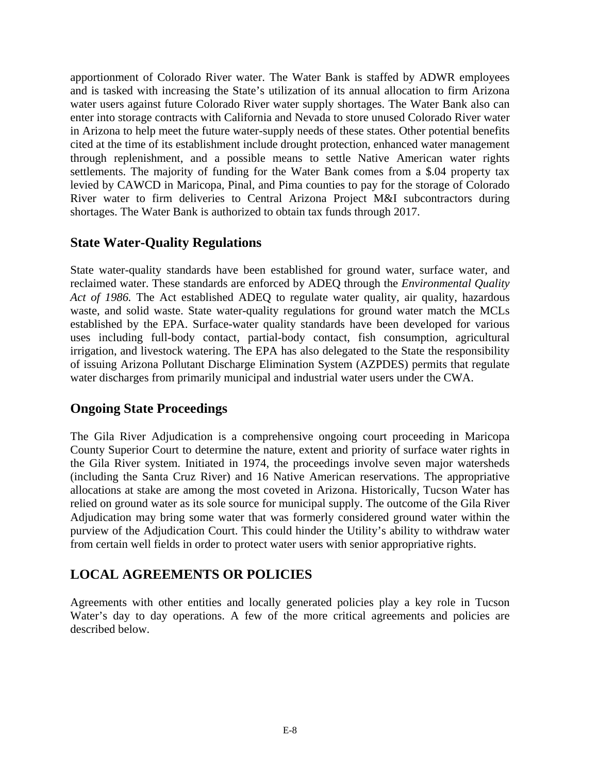apportionment of Colorado River water. The Water Bank is staffed by ADWR employees and is tasked with increasing the State's utilization of its annual allocation to firm Arizona water users against future Colorado River water supply shortages. The Water Bank also can enter into storage contracts with California and Nevada to store unused Colorado River water in Arizona to help meet the future water-supply needs of these states. Other potential benefits cited at the time of its establishment include drought protection, enhanced water management through replenishment, and a possible means to settle Native American water rights settlements. The majority of funding for the Water Bank comes from a \$.04 property tax levied by CAWCD in Maricopa, Pinal, and Pima counties to pay for the storage of Colorado River water to firm deliveries to Central Arizona Project M&I subcontractors during shortages. The Water Bank is authorized to obtain tax funds through 2017.

### **State Water-Quality Regulations**

State water-quality standards have been established for ground water, surface water, and reclaimed water. These standards are enforced by ADEQ through the *Environmental Quality Act of 1986.* The Act established ADEQ to regulate water quality, air quality, hazardous waste, and solid waste. State water-quality regulations for ground water match the MCLs established by the EPA. Surface-water quality standards have been developed for various uses including full-body contact, partial-body contact, fish consumption, agricultural irrigation, and livestock watering. The EPA has also delegated to the State the responsibility of issuing Arizona Pollutant Discharge Elimination System (AZPDES) permits that regulate water discharges from primarily municipal and industrial water users under the CWA.

### **Ongoing State Proceedings**

The Gila River Adjudication is a comprehensive ongoing court proceeding in Maricopa County Superior Court to determine the nature, extent and priority of surface water rights in the Gila River system. Initiated in 1974, the proceedings involve seven major watersheds (including the Santa Cruz River) and 16 Native American reservations. The appropriative allocations at stake are among the most coveted in Arizona. Historically, Tucson Water has relied on ground water as its sole source for municipal supply. The outcome of the Gila River Adjudication may bring some water that was formerly considered ground water within the purview of the Adjudication Court. This could hinder the Utility's ability to withdraw water from certain well fields in order to protect water users with senior appropriative rights.

# **LOCAL AGREEMENTS OR POLICIES**

Agreements with other entities and locally generated policies play a key role in Tucson Water's day to day operations. A few of the more critical agreements and policies are described below.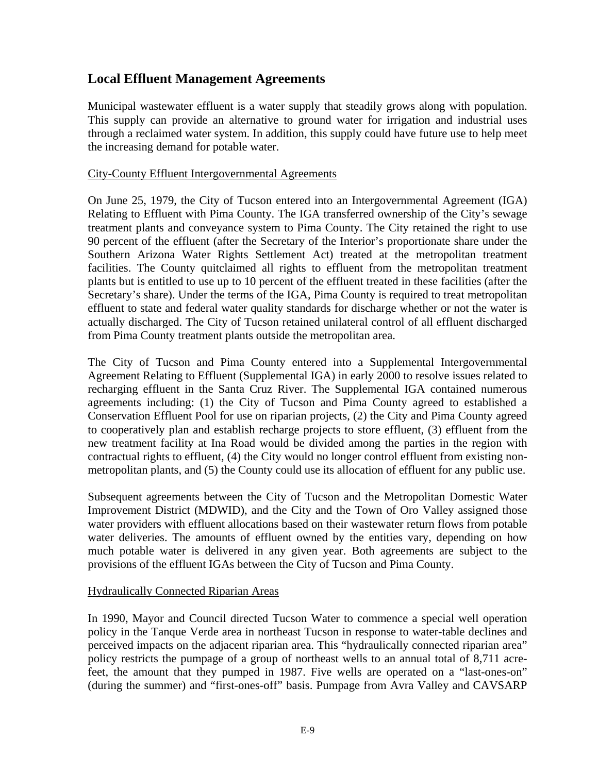### **Local Effluent Management Agreements**

Municipal wastewater effluent is a water supply that steadily grows along with population. This supply can provide an alternative to ground water for irrigation and industrial uses through a reclaimed water system. In addition, this supply could have future use to help meet the increasing demand for potable water.

#### City-County Effluent Intergovernmental Agreements

On June 25, 1979, the City of Tucson entered into an Intergovernmental Agreement (IGA) Relating to Effluent with Pima County. The IGA transferred ownership of the City's sewage treatment plants and conveyance system to Pima County. The City retained the right to use 90 percent of the effluent (after the Secretary of the Interior's proportionate share under the Southern Arizona Water Rights Settlement Act) treated at the metropolitan treatment facilities. The County quitclaimed all rights to effluent from the metropolitan treatment plants but is entitled to use up to 10 percent of the effluent treated in these facilities (after the Secretary's share). Under the terms of the IGA, Pima County is required to treat metropolitan effluent to state and federal water quality standards for discharge whether or not the water is actually discharged. The City of Tucson retained unilateral control of all effluent discharged from Pima County treatment plants outside the metropolitan area.

The City of Tucson and Pima County entered into a Supplemental Intergovernmental Agreement Relating to Effluent (Supplemental IGA) in early 2000 to resolve issues related to recharging effluent in the Santa Cruz River. The Supplemental IGA contained numerous agreements including: (1) the City of Tucson and Pima County agreed to established a Conservation Effluent Pool for use on riparian projects, (2) the City and Pima County agreed to cooperatively plan and establish recharge projects to store effluent, (3) effluent from the new treatment facility at Ina Road would be divided among the parties in the region with contractual rights to effluent, (4) the City would no longer control effluent from existing nonmetropolitan plants, and (5) the County could use its allocation of effluent for any public use.

Subsequent agreements between the City of Tucson and the Metropolitan Domestic Water Improvement District (MDWID), and the City and the Town of Oro Valley assigned those water providers with effluent allocations based on their wastewater return flows from potable water deliveries. The amounts of effluent owned by the entities vary, depending on how much potable water is delivered in any given year. Both agreements are subject to the provisions of the effluent IGAs between the City of Tucson and Pima County.

#### Hydraulically Connected Riparian Areas

In 1990, Mayor and Council directed Tucson Water to commence a special well operation policy in the Tanque Verde area in northeast Tucson in response to water-table declines and perceived impacts on the adjacent riparian area. This "hydraulically connected riparian area" policy restricts the pumpage of a group of northeast wells to an annual total of 8,711 acrefeet, the amount that they pumped in 1987. Five wells are operated on a "last-ones-on" (during the summer) and "first-ones-off" basis. Pumpage from Avra Valley and CAVSARP